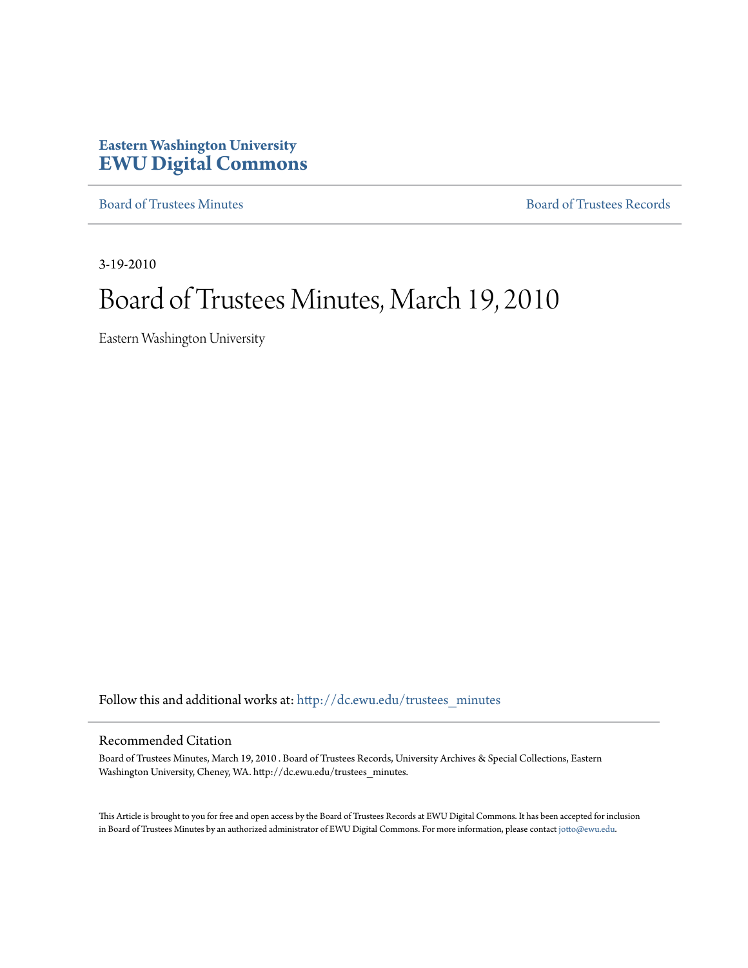# **Eastern Washington University [EWU Digital Commons](http://dc.ewu.edu?utm_source=dc.ewu.edu%2Ftrustees_minutes%2F611&utm_medium=PDF&utm_campaign=PDFCoverPages)**

[Board of Trustees Minutes](http://dc.ewu.edu/trustees_minutes?utm_source=dc.ewu.edu%2Ftrustees_minutes%2F611&utm_medium=PDF&utm_campaign=PDFCoverPages) [Board of Trustees Records](http://dc.ewu.edu/trustees?utm_source=dc.ewu.edu%2Ftrustees_minutes%2F611&utm_medium=PDF&utm_campaign=PDFCoverPages)

3-19-2010

# Board of Trustees Minutes, March 19, 2010

Eastern Washington University

Follow this and additional works at: [http://dc.ewu.edu/trustees\\_minutes](http://dc.ewu.edu/trustees_minutes?utm_source=dc.ewu.edu%2Ftrustees_minutes%2F611&utm_medium=PDF&utm_campaign=PDFCoverPages)

#### Recommended Citation

Board of Trustees Minutes, March 19, 2010 . Board of Trustees Records, University Archives & Special Collections, Eastern Washington University, Cheney, WA. http://dc.ewu.edu/trustees\_minutes.

This Article is brought to you for free and open access by the Board of Trustees Records at EWU Digital Commons. It has been accepted for inclusion in Board of Trustees Minutes by an authorized administrator of EWU Digital Commons. For more information, please contact [jotto@ewu.edu.](mailto:jotto@ewu.edu)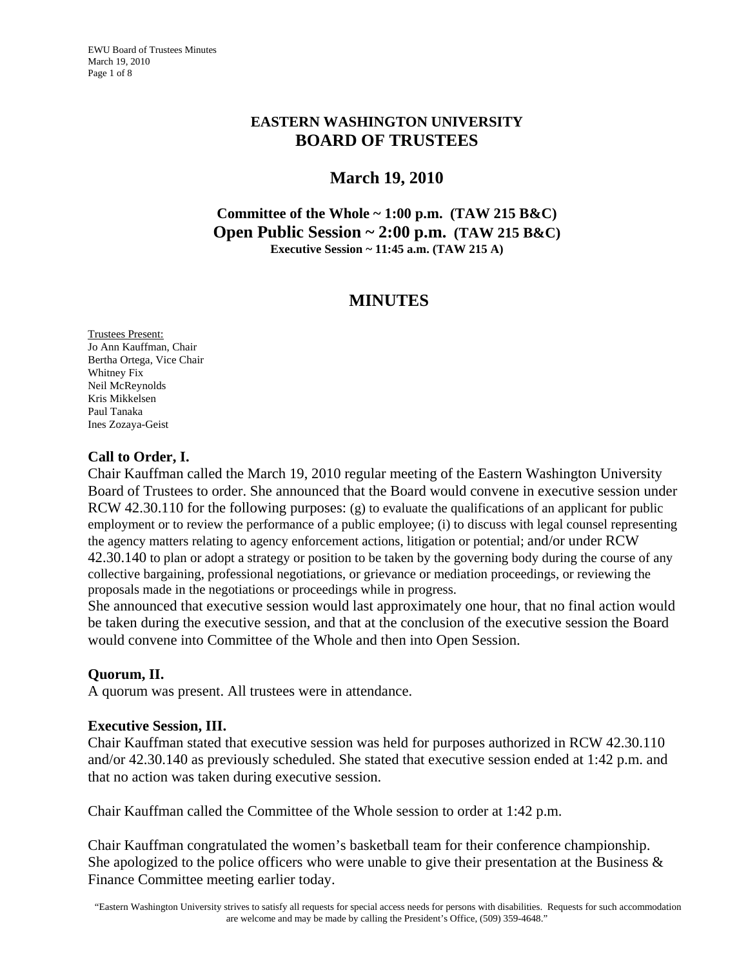EWU Board of Trustees Minutes March 19, 2010 Page 1 of 8

## **EASTERN WASHINGTON UNIVERSITY BOARD OF TRUSTEES**

## **March 19, 2010**

**Committee of the Whole ~ 1:00 p.m. (TAW 215 B&C) Open Public Session ~ 2:00 p.m. (TAW 215 B&C) Executive Session ~ 11:45 a.m. (TAW 215 A)** 

## **MINUTES**

Trustees Present: Jo Ann Kauffman, Chair Bertha Ortega, Vice Chair Whitney Fix Neil McReynolds Kris Mikkelsen Paul Tanaka Ines Zozaya-Geist

## **Call to Order, I.**

Chair Kauffman called the March 19, 2010 regular meeting of the Eastern Washington University Board of Trustees to order. She announced that the Board would convene in executive session under RCW 42.30.110 for the following purposes: (g) to evaluate the qualifications of an applicant for public employment or to review the performance of a public employee; (i) to discuss with legal counsel representing the agency matters relating to agency enforcement actions, litigation or potential; and/or under RCW 42.30.140 to plan or adopt a strategy or position to be taken by the governing body during the course of any collective bargaining, professional negotiations, or grievance or mediation proceedings, or reviewing the proposals made in the negotiations or proceedings while in progress.

She announced that executive session would last approximately one hour, that no final action would be taken during the executive session, and that at the conclusion of the executive session the Board would convene into Committee of the Whole and then into Open Session.

## **Quorum, II.**

A quorum was present. All trustees were in attendance.

## **Executive Session, III.**

Chair Kauffman stated that executive session was held for purposes authorized in RCW 42.30.110 and/or 42.30.140 as previously scheduled. She stated that executive session ended at 1:42 p.m. and that no action was taken during executive session.

Chair Kauffman called the Committee of the Whole session to order at 1:42 p.m.

Chair Kauffman congratulated the women's basketball team for their conference championship. She apologized to the police officers who were unable to give their presentation at the Business  $\&$ Finance Committee meeting earlier today.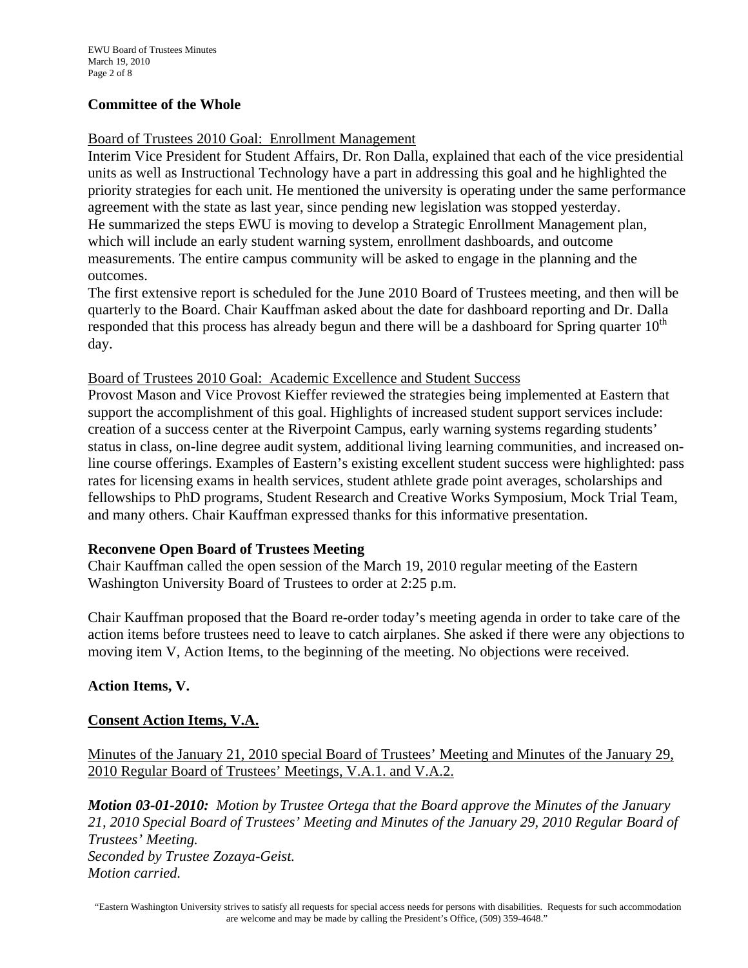#### **Committee of the Whole**

#### Board of Trustees 2010 Goal: Enrollment Management

Interim Vice President for Student Affairs, Dr. Ron Dalla, explained that each of the vice presidential units as well as Instructional Technology have a part in addressing this goal and he highlighted the priority strategies for each unit. He mentioned the university is operating under the same performance agreement with the state as last year, since pending new legislation was stopped yesterday. He summarized the steps EWU is moving to develop a Strategic Enrollment Management plan, which will include an early student warning system, enrollment dashboards, and outcome measurements. The entire campus community will be asked to engage in the planning and the outcomes.

The first extensive report is scheduled for the June 2010 Board of Trustees meeting, and then will be quarterly to the Board. Chair Kauffman asked about the date for dashboard reporting and Dr. Dalla responded that this process has already begun and there will be a dashboard for Spring quarter  $10<sup>th</sup>$ day.

#### Board of Trustees 2010 Goal: Academic Excellence and Student Success

Provost Mason and Vice Provost Kieffer reviewed the strategies being implemented at Eastern that support the accomplishment of this goal. Highlights of increased student support services include: creation of a success center at the Riverpoint Campus, early warning systems regarding students' status in class, on-line degree audit system, additional living learning communities, and increased online course offerings. Examples of Eastern's existing excellent student success were highlighted: pass rates for licensing exams in health services, student athlete grade point averages, scholarships and fellowships to PhD programs, Student Research and Creative Works Symposium, Mock Trial Team, and many others. Chair Kauffman expressed thanks for this informative presentation.

#### **Reconvene Open Board of Trustees Meeting**

Chair Kauffman called the open session of the March 19, 2010 regular meeting of the Eastern Washington University Board of Trustees to order at 2:25 p.m.

Chair Kauffman proposed that the Board re-order today's meeting agenda in order to take care of the action items before trustees need to leave to catch airplanes. She asked if there were any objections to moving item V, Action Items, to the beginning of the meeting. No objections were received.

## **Action Items, V.**

## **Consent Action Items, V.A.**

## Minutes of the January 21, 2010 special Board of Trustees' Meeting and Minutes of the January 29, 2010 Regular Board of Trustees' Meetings, V.A.1. and V.A.2.

*Motion 03-01-2010: Motion by Trustee Ortega that the Board approve the Minutes of the January 21, 2010 Special Board of Trustees' Meeting and Minutes of the January 29, 2010 Regular Board of Trustees' Meeting. Seconded by Trustee Zozaya-Geist. Motion carried.*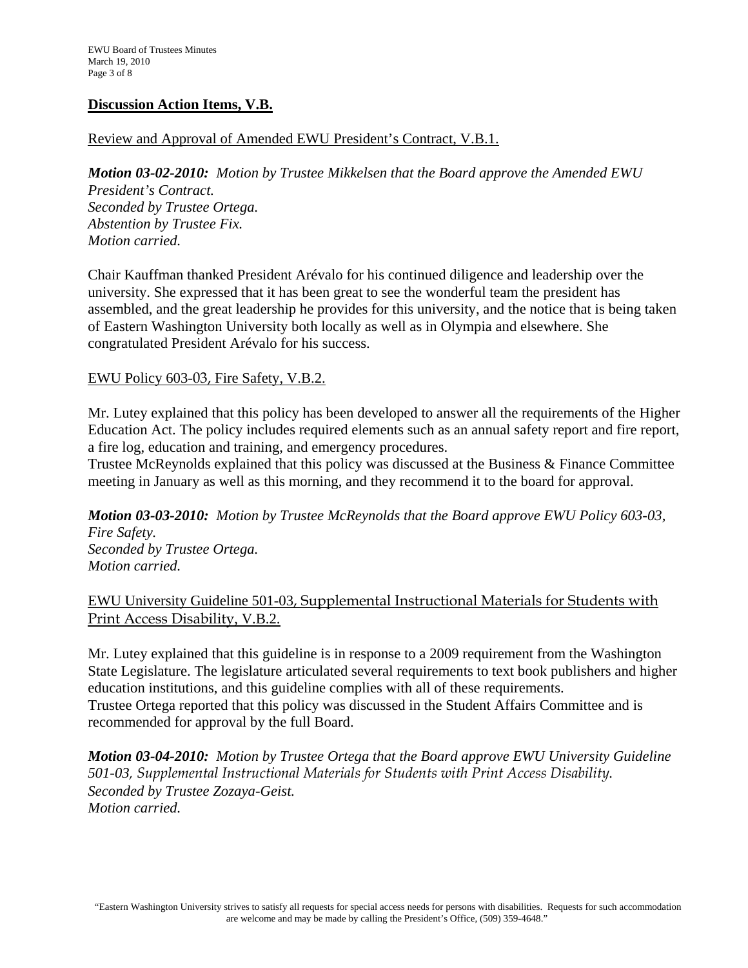#### **Discussion Action Items, V.B.**

## Review and Approval of Amended EWU President's Contract, V.B.1.

*Motion 03-02-2010: Motion by Trustee Mikkelsen that the Board approve the Amended EWU President's Contract. Seconded by Trustee Ortega. Abstention by Trustee Fix. Motion carried.* 

Chair Kauffman thanked President Arévalo for his continued diligence and leadership over the university. She expressed that it has been great to see the wonderful team the president has assembled, and the great leadership he provides for this university, and the notice that is being taken of Eastern Washington University both locally as well as in Olympia and elsewhere. She congratulated President Arévalo for his success.

#### EWU Policy 603-03, Fire Safety, V.B.2.

Mr. Lutey explained that this policy has been developed to answer all the requirements of the Higher Education Act. The policy includes required elements such as an annual safety report and fire report, a fire log, education and training, and emergency procedures.

Trustee McReynolds explained that this policy was discussed at the Business & Finance Committee meeting in January as well as this morning, and they recommend it to the board for approval.

*Motion 03-03-2010: Motion by Trustee McReynolds that the Board approve EWU Policy 603-03, Fire Safety. Seconded by Trustee Ortega. Motion carried.* 

## EWU University Guideline 501-03, Supplemental Instructional Materials for Students with Print Access Disability, V.B.2.

Mr. Lutey explained that this guideline is in response to a 2009 requirement from the Washington State Legislature. The legislature articulated several requirements to text book publishers and higher education institutions, and this guideline complies with all of these requirements. Trustee Ortega reported that this policy was discussed in the Student Affairs Committee and is recommended for approval by the full Board.

*Motion 03-04-2010: Motion by Trustee Ortega that the Board approve EWU University Guideline 501-03, Supplemental Instructional Materials for Students with Print Access Disability. Seconded by Trustee Zozaya-Geist. Motion carried.*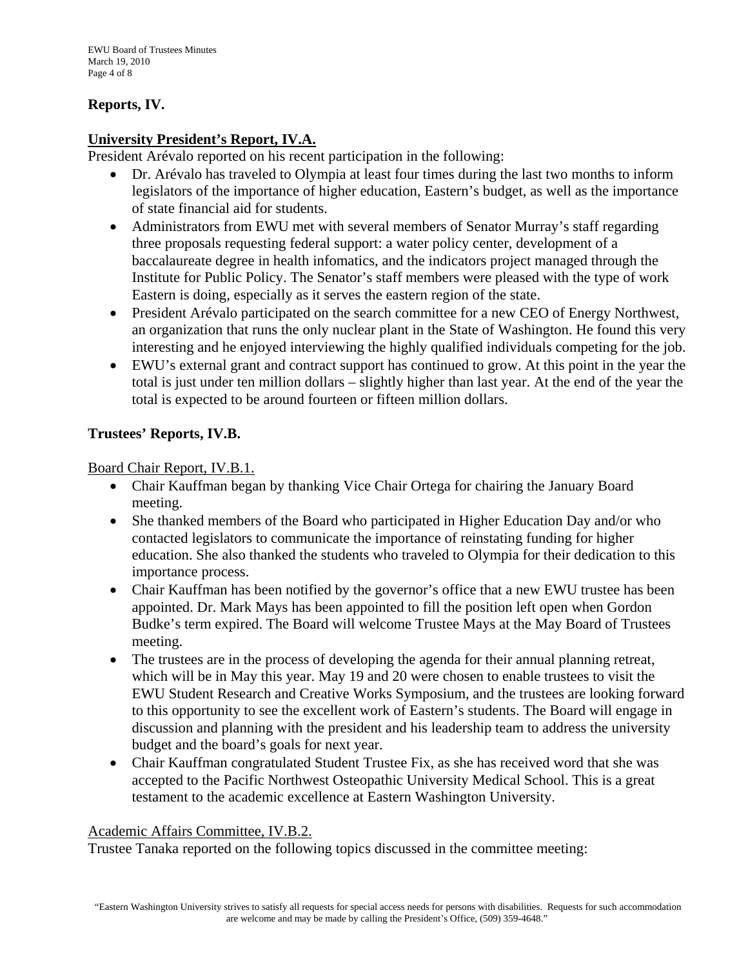## **Reports, IV.**

## **University President's Report, IV.A.**

President Arévalo reported on his recent participation in the following:

- Dr. Arévalo has traveled to Olympia at least four times during the last two months to inform legislators of the importance of higher education, Eastern's budget, as well as the importance of state financial aid for students.
- Administrators from EWU met with several members of Senator Murray's staff regarding three proposals requesting federal support: a water policy center, development of a baccalaureate degree in health infomatics, and the indicators project managed through the Institute for Public Policy. The Senator's staff members were pleased with the type of work Eastern is doing, especially as it serves the eastern region of the state.
- President Arévalo participated on the search committee for a new CEO of Energy Northwest, an organization that runs the only nuclear plant in the State of Washington. He found this very interesting and he enjoyed interviewing the highly qualified individuals competing for the job.
- EWU's external grant and contract support has continued to grow. At this point in the year the total is just under ten million dollars – slightly higher than last year. At the end of the year the total is expected to be around fourteen or fifteen million dollars.

## **Trustees' Reports, IV.B.**

Board Chair Report, IV.B.1.

- Chair Kauffman began by thanking Vice Chair Ortega for chairing the January Board meeting.
- She thanked members of the Board who participated in Higher Education Day and/or who contacted legislators to communicate the importance of reinstating funding for higher education. She also thanked the students who traveled to Olympia for their dedication to this importance process.
- Chair Kauffman has been notified by the governor's office that a new EWU trustee has been appointed. Dr. Mark Mays has been appointed to fill the position left open when Gordon Budke's term expired. The Board will welcome Trustee Mays at the May Board of Trustees meeting.
- The trustees are in the process of developing the agenda for their annual planning retreat, which will be in May this year. May 19 and 20 were chosen to enable trustees to visit the EWU Student Research and Creative Works Symposium, and the trustees are looking forward to this opportunity to see the excellent work of Eastern's students. The Board will engage in discussion and planning with the president and his leadership team to address the university budget and the board's goals for next year.
- Chair Kauffman congratulated Student Trustee Fix, as she has received word that she was accepted to the Pacific Northwest Osteopathic University Medical School. This is a great testament to the academic excellence at Eastern Washington University.

#### Academic Affairs Committee, IV.B.2.

Trustee Tanaka reported on the following topics discussed in the committee meeting: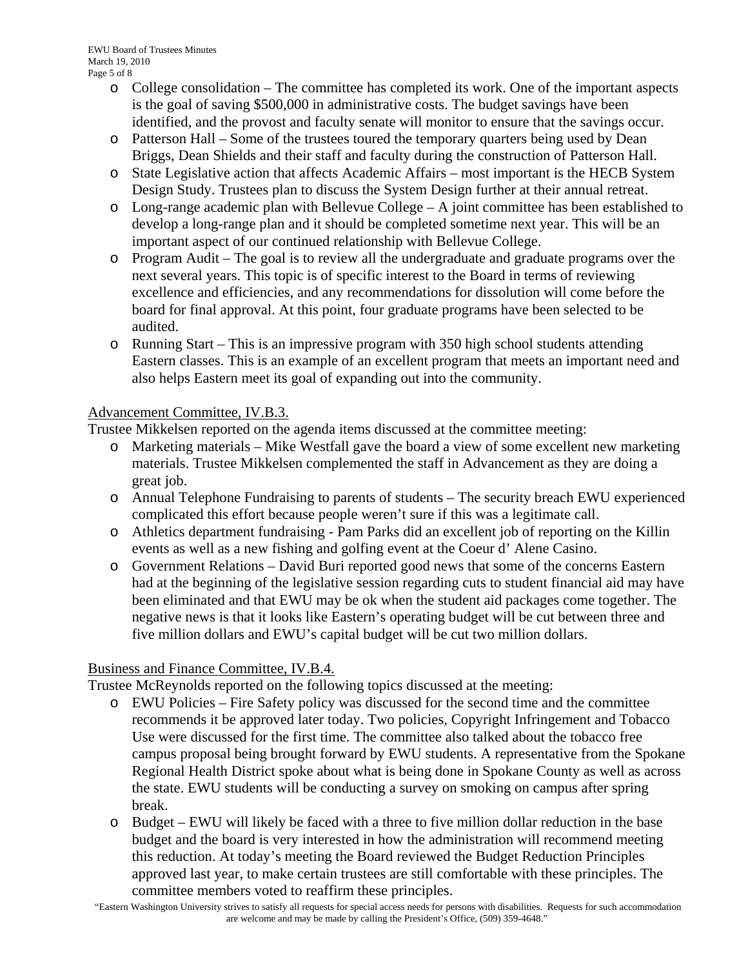- o College consolidation The committee has completed its work. One of the important aspects is the goal of saving \$500,000 in administrative costs. The budget savings have been identified, and the provost and faculty senate will monitor to ensure that the savings occur.
- o Patterson Hall Some of the trustees toured the temporary quarters being used by Dean Briggs, Dean Shields and their staff and faculty during the construction of Patterson Hall.
- o State Legislative action that affects Academic Affairs most important is the HECB System Design Study. Trustees plan to discuss the System Design further at their annual retreat.
- o Long-range academic plan with Bellevue College A joint committee has been established to develop a long-range plan and it should be completed sometime next year. This will be an important aspect of our continued relationship with Bellevue College.
- o Program Audit The goal is to review all the undergraduate and graduate programs over the next several years. This topic is of specific interest to the Board in terms of reviewing excellence and efficiencies, and any recommendations for dissolution will come before the board for final approval. At this point, four graduate programs have been selected to be audited.
- o Running Start This is an impressive program with 350 high school students attending Eastern classes. This is an example of an excellent program that meets an important need and also helps Eastern meet its goal of expanding out into the community.

## Advancement Committee, IV.B.3.

Trustee Mikkelsen reported on the agenda items discussed at the committee meeting:

- o Marketing materials Mike Westfall gave the board a view of some excellent new marketing materials. Trustee Mikkelsen complemented the staff in Advancement as they are doing a great job.
- o Annual Telephone Fundraising to parents of students The security breach EWU experienced complicated this effort because people weren't sure if this was a legitimate call.
- o Athletics department fundraising Pam Parks did an excellent job of reporting on the Killin events as well as a new fishing and golfing event at the Coeur d' Alene Casino.
- o Government Relations David Buri reported good news that some of the concerns Eastern had at the beginning of the legislative session regarding cuts to student financial aid may have been eliminated and that EWU may be ok when the student aid packages come together. The negative news is that it looks like Eastern's operating budget will be cut between three and five million dollars and EWU's capital budget will be cut two million dollars.

## Business and Finance Committee, IV.B.4.

Trustee McReynolds reported on the following topics discussed at the meeting:

- o EWU Policies Fire Safety policy was discussed for the second time and the committee recommends it be approved later today. Two policies, Copyright Infringement and Tobacco Use were discussed for the first time. The committee also talked about the tobacco free campus proposal being brought forward by EWU students. A representative from the Spokane Regional Health District spoke about what is being done in Spokane County as well as across the state. EWU students will be conducting a survey on smoking on campus after spring break.
- o Budget EWU will likely be faced with a three to five million dollar reduction in the base budget and the board is very interested in how the administration will recommend meeting this reduction. At today's meeting the Board reviewed the Budget Reduction Principles approved last year, to make certain trustees are still comfortable with these principles. The committee members voted to reaffirm these principles.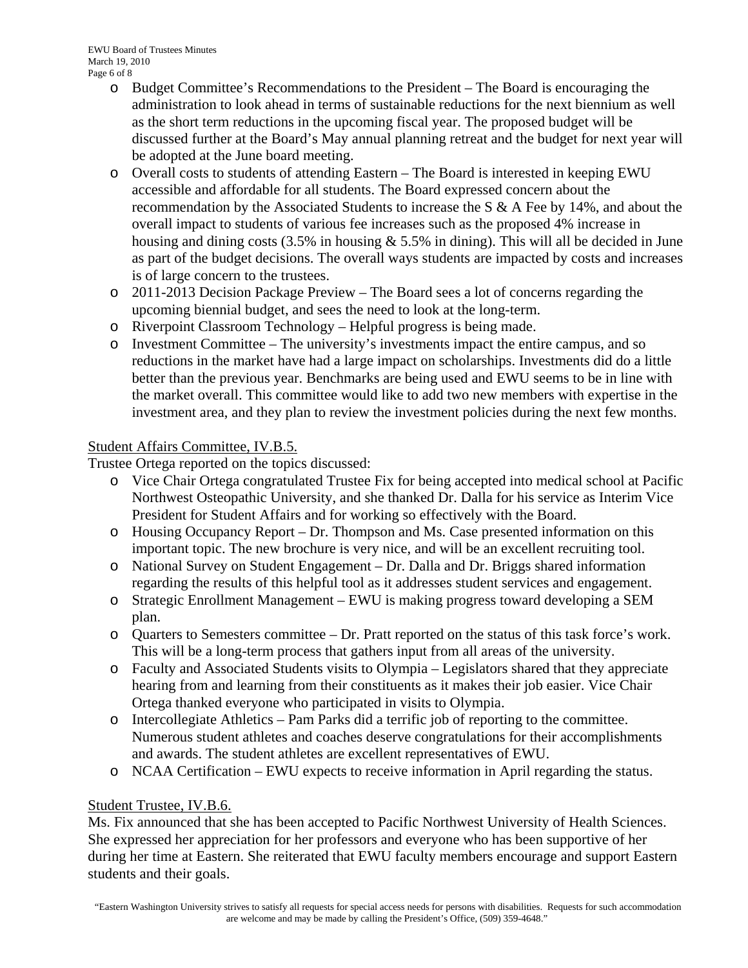- o Budget Committee's Recommendations to the President The Board is encouraging the administration to look ahead in terms of sustainable reductions for the next biennium as well as the short term reductions in the upcoming fiscal year. The proposed budget will be discussed further at the Board's May annual planning retreat and the budget for next year will be adopted at the June board meeting.
- o Overall costs to students of attending Eastern The Board is interested in keeping EWU accessible and affordable for all students. The Board expressed concern about the recommendation by the Associated Students to increase the S  $\&$  A Fee by 14%, and about the overall impact to students of various fee increases such as the proposed 4% increase in housing and dining costs  $(3.5\%$  in housing  $\&$  5.5% in dining). This will all be decided in June as part of the budget decisions. The overall ways students are impacted by costs and increases is of large concern to the trustees.
- o 2011-2013 Decision Package Preview The Board sees a lot of concerns regarding the upcoming biennial budget, and sees the need to look at the long-term.
- o Riverpoint Classroom Technology Helpful progress is being made.
- o Investment Committee The university's investments impact the entire campus, and so reductions in the market have had a large impact on scholarships. Investments did do a little better than the previous year. Benchmarks are being used and EWU seems to be in line with the market overall. This committee would like to add two new members with expertise in the investment area, and they plan to review the investment policies during the next few months.

## Student Affairs Committee, IV.B.5.

Trustee Ortega reported on the topics discussed:

- o Vice Chair Ortega congratulated Trustee Fix for being accepted into medical school at Pacific Northwest Osteopathic University, and she thanked Dr. Dalla for his service as Interim Vice President for Student Affairs and for working so effectively with the Board.
- o Housing Occupancy Report Dr. Thompson and Ms. Case presented information on this important topic. The new brochure is very nice, and will be an excellent recruiting tool.
- o National Survey on Student Engagement Dr. Dalla and Dr. Briggs shared information regarding the results of this helpful tool as it addresses student services and engagement.
- o Strategic Enrollment Management EWU is making progress toward developing a SEM plan.
- o Quarters to Semesters committee Dr. Pratt reported on the status of this task force's work. This will be a long-term process that gathers input from all areas of the university.
- o Faculty and Associated Students visits to Olympia Legislators shared that they appreciate hearing from and learning from their constituents as it makes their job easier. Vice Chair Ortega thanked everyone who participated in visits to Olympia.
- o Intercollegiate Athletics Pam Parks did a terrific job of reporting to the committee. Numerous student athletes and coaches deserve congratulations for their accomplishments and awards. The student athletes are excellent representatives of EWU.
- o NCAA Certification EWU expects to receive information in April regarding the status.

## Student Trustee, IV.B.6.

Ms. Fix announced that she has been accepted to Pacific Northwest University of Health Sciences. She expressed her appreciation for her professors and everyone who has been supportive of her during her time at Eastern. She reiterated that EWU faculty members encourage and support Eastern students and their goals.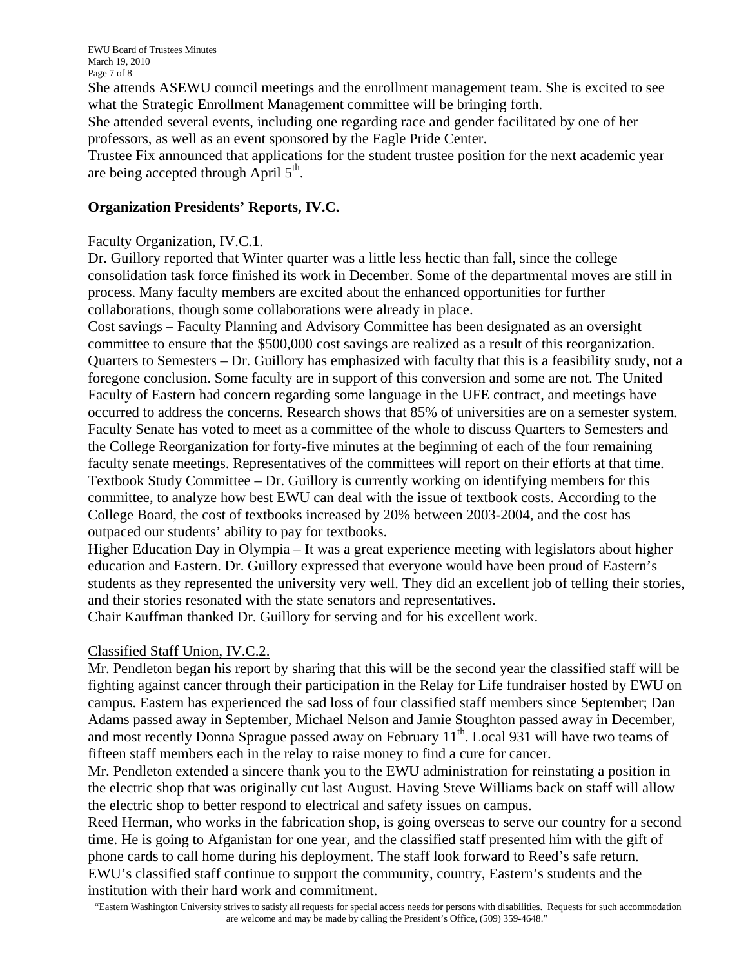EWU Board of Trustees Minutes March 19, 2010 Page 7 of 8

She attends ASEWU council meetings and the enrollment management team. She is excited to see what the Strategic Enrollment Management committee will be bringing forth.

She attended several events, including one regarding race and gender facilitated by one of her professors, as well as an event sponsored by the Eagle Pride Center.

Trustee Fix announced that applications for the student trustee position for the next academic year are being accepted through April  $5<sup>th</sup>$ .

## **Organization Presidents' Reports, IV.C.**

#### Faculty Organization, IV.C.1.

Dr. Guillory reported that Winter quarter was a little less hectic than fall, since the college consolidation task force finished its work in December. Some of the departmental moves are still in process. Many faculty members are excited about the enhanced opportunities for further collaborations, though some collaborations were already in place.

Cost savings – Faculty Planning and Advisory Committee has been designated as an oversight committee to ensure that the \$500,000 cost savings are realized as a result of this reorganization. Quarters to Semesters – Dr. Guillory has emphasized with faculty that this is a feasibility study, not a foregone conclusion. Some faculty are in support of this conversion and some are not. The United Faculty of Eastern had concern regarding some language in the UFE contract, and meetings have occurred to address the concerns. Research shows that 85% of universities are on a semester system. Faculty Senate has voted to meet as a committee of the whole to discuss Quarters to Semesters and the College Reorganization for forty-five minutes at the beginning of each of the four remaining faculty senate meetings. Representatives of the committees will report on their efforts at that time. Textbook Study Committee – Dr. Guillory is currently working on identifying members for this committee, to analyze how best EWU can deal with the issue of textbook costs. According to the College Board, the cost of textbooks increased by 20% between 2003-2004, and the cost has outpaced our students' ability to pay for textbooks.

Higher Education Day in Olympia – It was a great experience meeting with legislators about higher education and Eastern. Dr. Guillory expressed that everyone would have been proud of Eastern's students as they represented the university very well. They did an excellent job of telling their stories, and their stories resonated with the state senators and representatives.

Chair Kauffman thanked Dr. Guillory for serving and for his excellent work.

## Classified Staff Union, IV.C.2.

Mr. Pendleton began his report by sharing that this will be the second year the classified staff will be fighting against cancer through their participation in the Relay for Life fundraiser hosted by EWU on campus. Eastern has experienced the sad loss of four classified staff members since September; Dan Adams passed away in September, Michael Nelson and Jamie Stoughton passed away in December, and most recently Donna Sprague passed away on February  $11<sup>th</sup>$ . Local 931 will have two teams of fifteen staff members each in the relay to raise money to find a cure for cancer.

Mr. Pendleton extended a sincere thank you to the EWU administration for reinstating a position in the electric shop that was originally cut last August. Having Steve Williams back on staff will allow the electric shop to better respond to electrical and safety issues on campus.

Reed Herman, who works in the fabrication shop, is going overseas to serve our country for a second time. He is going to Afganistan for one year, and the classified staff presented him with the gift of phone cards to call home during his deployment. The staff look forward to Reed's safe return. EWU's classified staff continue to support the community, country, Eastern's students and the institution with their hard work and commitment.